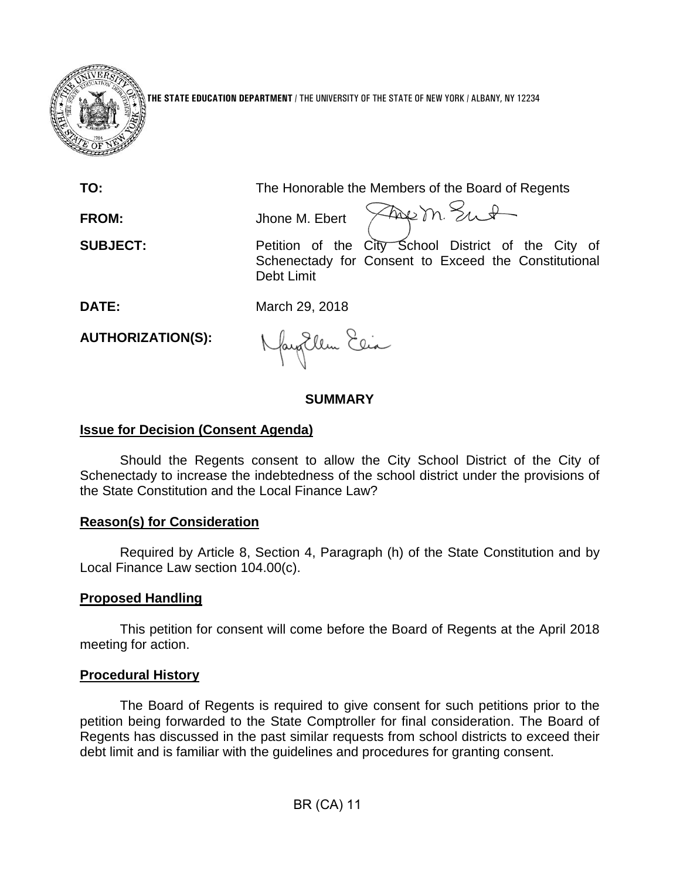

**THE STATE EDUCATION DEPARTMENT** / THE UNIVERSITY OF THE STATE OF NEW YORK / ALBANY, NY 12234

**TO:** The Honorable the Members of the Board of Regents

**FROM:** Jhone M. Ebert

Frem Sut

**SUBJECT:** Petition of the City School District of the City of Schenectady for Consent to Exceed the Constitutional Debt Limit

**DATE:** March 29, 2018

**AUTHORIZATION(S):**

Nagollem Elia

# **SUMMARY**

## **Issue for Decision (Consent Agenda)**

Should the Regents consent to allow the City School District of the City of Schenectady to increase the indebtedness of the school district under the provisions of the State Constitution and the Local Finance Law?

## **Reason(s) for Consideration**

Required by Article 8, Section 4, Paragraph (h) of the State Constitution and by Local Finance Law section 104.00(c).

## **Proposed Handling**

This petition for consent will come before the Board of Regents at the April 2018 meeting for action.

## **Procedural History**

The Board of Regents is required to give consent for such petitions prior to the petition being forwarded to the State Comptroller for final consideration. The Board of Regents has discussed in the past similar requests from school districts to exceed their debt limit and is familiar with the guidelines and procedures for granting consent.